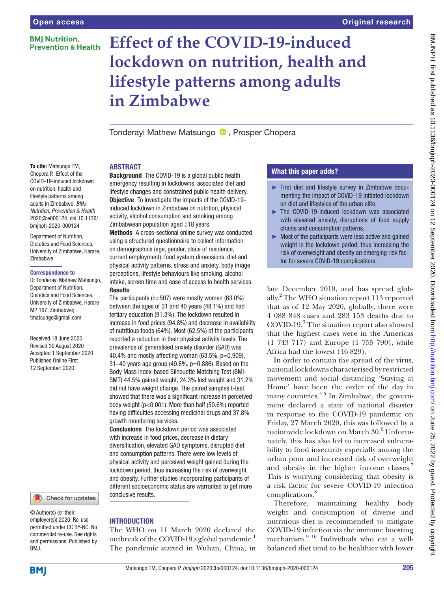# **BMI Nutrition. Prevention & Health**

# **Effect of the COVID-19-induced lockdown on nutrition, health and lifestyle patterns among adults in Zimbabwe**

TonderaviMathew Matsungo **D**. Prosper Chopera

#### To cite: Matsungo TM, Chopera P. Effect of the COVID-19-induced lockdown on nutrition, health and lifestyle patterns among adults in Zimbabwe. *BMJ Nutrition, Prevention & Health* 2020;3:e000124. doi:10.1136/ bmjnph-2020-000124

Department of Nutrition, DIetetics and Food Sciences, University of Zimbabwe, Harare, Zimbabwe

#### Correspondence to

Dr Tonderayi Mathew Matsungo, Department of Nutrition, DIetetics and Food Sciences, University of Zimbabwe, Harare MP 167, Zimbabwe; tmatsungo@gmail.com

Received 18 June 2020 Revised 30 August 2020 Accepted 1 September 2020 Published Online First 12 September 2020



© Author(s) (or their employer(s)) 2020. Re-use permitted under CC BY-NC. No commercial re-use. See rights and permissions. Published by BMJ.

# ABSTRACT

**Background** The COVID-19 is a global public health emergency resulting in lockdowns, associated diet and lifestyle changes and constrained public health delivery. Objective To investigate the impacts of the COVID-19 induced lockdown in Zimbabwe on nutrition, physical activity, alcohol consumption and smoking among Zimbabwean population aged ≥18 years.

Methods A cross-sectional online survey was conducted using a structured questionnaire to collect information on demographics (age, gender, place of residence, current employment), food system dimensions, diet and physical activity patterns, stress and anxiety, body image perceptions, lifestyle behaviours like smoking, alcohol intake, screen time and ease of access to health services.

#### **Results**

The participants (n=507) were mostly women (63.0%) between the ages of 31 and 40 years (48.1%) and had tertiary education (91.3%). The lockdown resulted in increase in food prices (94.8%) and decrease in availability of nutritious foods (64%). Most (62.5%) of the participants reported a reduction in their physical activity levels. The prevalence of generalised anxiety disorder (GAD) was 40.4% and mostly affecting woman (63.5%, p=0.909),  $31-40$  years age group (49.6%, p=0.886). Based on the Body Mass Index-based Silhouette Matching Test (BMI-SMT) 44.5% gained weight, 24.3% lost weight and 31.2% did not have weight change. The paired samples t-test showed that there was a significant increase in perceived body weight (p<0.001). More than half (59.6%) reported having difficulties accessing medicinal drugs and 37.8% growth monitoring services.

Conclusions The lockdown period was associated with increase in food prices, decrease in dietary diversification, elevated GAD symptoms, disrupted diet and consumption patterns. There were low levels of physical activity and perceived weight gained during the lockdown period, thus increasing the risk of overweight and obesity. Further studies incorporating participants of different socioeconomic status are warranted to get more conclusive results.

# **INTRODUCTION**

The WHO on 11 March 2020 declared the outbreak of the COVID-[1](#page-6-0)9 a global pandemic.<sup>1</sup> The pandemic started in Wuhan, China, in

# What this paper adds?

- ► First diet and lifestyle survey in Zimbabwe documenting the impact of COVID-19 initiated lockdown on diet and lifestyles of the urban elite.
- ► The COVID-19-induced lockdown was associated with elevated anxiety, disruptions of food supply chains and consumption patterns.
- $\blacktriangleright$  Most of the participants were less active and gained weight in the lockdown period, thus increasing the risk of overweight and obesity an emerging risk factor for severe COVID-19 complications.

late December 2019, and has spread glob-ally.<sup>[2](#page-6-1)</sup> The WHO situation report 113 reported that as of 12 May 2020, globally, there were 4 088 848 cases and 283 153 deaths due to COVID-19.<sup>[3](#page-6-2)</sup> The situation report also showed that the highest cases were in the Americas (1 743 717) and Europe (1 755 790), while Africa had the lowest (46 829).

In order to contain the spread of the virus, national lockdowns characterised by restricted movement and social distancing 'Staying at Home' have been the order of the day in many countries. $45$  In Zimbabwe, the government declared a state of national disaster in response to the COVID-19 pandemic on Friday, 27 March 2020, this was followed by a nationwide lockdown on March 30.<sup>[6](#page-7-1)</sup> Unfortunately, this has also led to increased vulnerability to food insecurity especially among the urban poor and increased risk of overweight and obesity in the higher income classes.<sup>7</sup> This is worrying considering that obesity is a risk factor for severe COVID-19 infection complications.[8](#page-7-3)

Therefore, maintaining healthy body weight and consumption of diverse and nutritious diet is recommended to mitigate COVID-19 infection via the immune boosting mechanism.<sup>9 10</sup> Individuals who eat a wellbalanced diet tend to be healthier with lower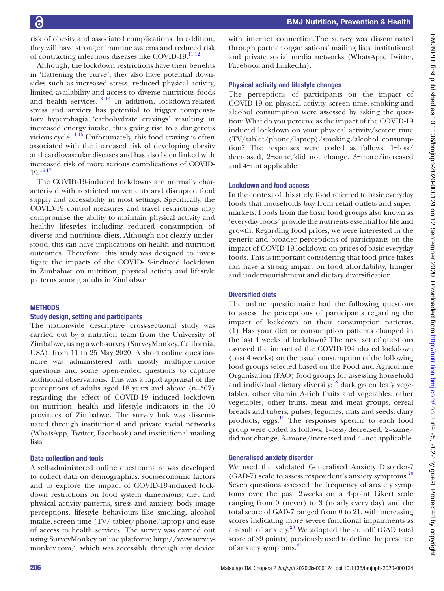risk of obesity and associated complications. In addition, they will have stronger immune systems and reduced risk of contracting infectious diseases like COVID-19.<sup>11</sup><sup>12</sup>

Although, the lockdown restrictions have their benefits in 'flattening the curve', they also have potential downsides such as increased stress, reduced physical activity, limited availability and access to diverse nutritious foods and health services. $13 \frac{14}{11}$  In addition, lockdown-related stress and anxiety has potential to trigger compensatory hyperphagia 'carbohydrate cravings' resulting in increased energy intake, thus giving rise to a dangerous vicious cycle.<sup>11 15</sup> Unfortunately, this food craving is often associated with the increased risk of developing obesity and cardiovascular diseases and has also been linked with increased risk of more serious complications of COVID- $19.1617$ 

The COVID-19-induced lockdowns are normally characterised with restricted movements and disrupted food supply and accessibility in most settings. Specifically, the COVID-19 control measures and travel restrictions may compromise the ability to maintain physical activity and healthy lifestyles including reduced consumption of diverse and nutritious diets. Although not clearly understood, this can have implications on health and nutrition outcomes. Therefore, this study was designed to investigate the impacts of the COVID-19-induced lockdown in Zimbabwe on nutrition, physical activity and lifestyle patterns among adults in Zimbabwe.

#### **METHODS**

#### Study design, setting and participants

The nationwide descriptive cross-sectional study was carried out by a nutrition team from the University of Zimbabwe, using a web-survey (SurveyMonkey, California, USA), from 11 to 25 May 2020. A short online questionnaire was administered with mostly multiple-choice questions and some open-ended questions to capture additional observations. This was a rapid appraisal of the perceptions of adults aged 18 years and above (n=507) regarding the effect of COVID-19 induced lockdown on nutrition, health and lifestyle indicators in the 10 provinces of Zimbabwe. The survey link was disseminated through institutional and private social networks (WhatsApp, Twitter, Facebook) and institutional mailing lists.

#### Data collection and tools

A self-administered online questionnaire was developed to collect data on demographics, socioeconomic factors and to explore the impact of COVID-19-induced lockdown restrictions on food system dimensions, diet and physical activity patterns, stress and anxiety, body image perceptions, lifestyle behaviours like smoking, alcohol intake, screen time (TV/ tablet/phone/laptop) and ease of access to health services. The survey was carried out using SurveyMonkey online platform; [http://www.survey](http://www.surveymonkey.com/)[monkey.com/,](http://www.surveymonkey.com/) which was accessible through any device

with internet connection.The survey was disseminated through partner organisations' mailing lists, institutional and private social media networks (WhatsApp, Twitter, Facebook and LinkedIn).

#### Physical activity and lifestyle changes

The perceptions of participants on the impact of COVID-19 on physical activity, screen time, smoking and alcohol consumption were assessed by asking the question: What do you perceive as the impact of the COVID-19 induced lockdown on your physical activity/screen time (TV/tablet/phone/laptop)/smoking/alcohol consumption? The responses were coded as follows: 1=less/ decreased, 2=same/did not change, 3=more/increased and 4=not applicable.

#### Lockdown and food access

In the context of this study, food referred to basic everyday foods that households buy from retail outlets and supermarkets. Foods from the basic food groups also known as 'everyday foods' provide the nutrients essential for life and growth. Regarding food prices, we were interested in the generic and broader perceptions of participants on the impact of COVID-19 lockdown on prices of basic everyday foods. This is important considering that food price hikes can have a strong impact on food affordability, hunger and undernourishment and dietary diversification.

#### Diversified diets

The online questionnaire had the following questions to assess the perceptions of participants regarding the impact of lockdown on their consumption patterns. (1) Has your diet or consumption patterns changed in the last 4 weeks of lockdown? The next set of questions assessed the impact of the COVID-19-induced lockdown (past 4 weeks) on the usual consumption of the following food groups selected based on the Food and Agriculture Organisation (FAO) food groups for assessing household and individual dietary diversity;<sup>18</sup> dark green leafy vegetables, other vitamin A-rich fruits and vegetables, other vegetables, other fruits, meat and meat groups, cereal breads and tubers, pulses, legumes, nuts and seeds, dairy products, eggs.[19](#page-7-9) The responses specific to each food group were coded as follows: 1=less/decreased, 2=same/ did not change, 3=more/increased and 4=not applicable.

#### Generalised anxiety disorder

We used the validated Generalised Anxiety Disorder-7 (GAD-7) scale to assess respondent's anxiety symptoms.<sup>[20](#page-7-10)</sup> Seven questions assessed the frequency of anxiety symptoms over the past 2weeks on a 4-point Likert scale ranging from 0 (never) to 3 (nearly every day) and the total score of GAD-7 ranged from 0 to 21, with increasing scores indicating more severe functional impairments as a result of anxiety. $20$  We adopted the cut-off (GAD total score of >9 points) previously used to define the presence of anxiety symptoms.[21](#page-7-11)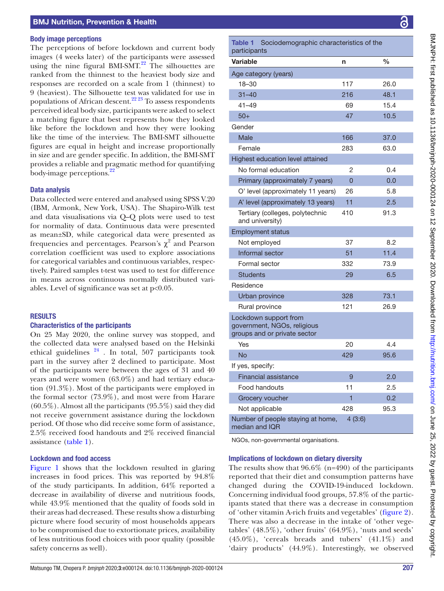#### Body image perceptions

The perceptions of before lockdown and current body images (4 weeks later) of the participants were assessed using the nine figural BMI-SMT.<sup>22</sup> The silhouettes are ranked from the thinnest to the heaviest body size and responses are recorded on a scale from 1 (thinnest) to 9 (heaviest). The Silhouette test was validated for use in populations of African descent.<sup>22, 23</sup> To assess respondents perceived ideal body size, participants were asked to select a matching figure that best represents how they looked like before the lockdown and how they were looking like the time of the interview. The BMI-SMT silhouette figures are equal in height and increase proportionally in size and are gender specific. In addition, the BMI-SMT provides a reliable and pragmatic method for quantifying body-image perceptions.<sup>22</sup>

#### Data analysis

Data collected were entered and analysed using SPSS V.20 (IBM, Armonk, New York, USA). The Shapiro-Wilk test and data visualisations via Q–Q plots were used to test for normality of data. Continuous data were presented as mean±SD, while categorical data were presented as frequencies and percentages. Pearson's  $\chi^2$  and Pearson correlation coefficient was used to explore associations for categorical variables and continuous variables, respectively. Paired samples t-test was used to test for difference in means across continuous normally distributed variables. Level of significance was set at p<0.05.

#### RESULTS

#### Characteristics of the participants

On 25 May 2020, the online survey was stopped, and the collected data were analysed based on the Helsinki ethical guidelines [24](#page-7-13) . In total, 507 participants took part in the survey after 2 declined to participate. Most of the participants were between the ages of 31 and 40 years and were women (63.0%) and had tertiary education (91.3%). Most of the participants were employed in the formal sector (73.9%), and most were from Harare (60.5%). Almost all the participants (95.5%) said they did not receive government assistance during the lockdown period. Of those who did receive some form of assistance, 2.5% received food handouts and 2% received financial assistance [\(table](#page-2-0) 1).

#### Lockdown and food access

[Figure](#page-3-0) 1 shows that the lockdown resulted in glaring increases in food prices. This was reported by 94.8% of the study participants. In addition, 64% reported a decrease in availability of diverse and nutritious foods, while 43.9% mentioned that the quality of foods sold in their areas had decreased. These results show a disturbing picture where food security of most households appears to be compromised due to extortionate prices, availability of less nutritious food choices with poor quality (possible safety concerns as well).

<span id="page-2-0"></span>

| <b>Table 1</b><br>Sociodemographic characteristics of the<br>participants            |        |               |  |  |  |
|--------------------------------------------------------------------------------------|--------|---------------|--|--|--|
| <b>Variable</b>                                                                      | n      | $\frac{0}{0}$ |  |  |  |
| Age category (years)                                                                 |        |               |  |  |  |
| $18 - 30$                                                                            | 117    | 26.0          |  |  |  |
| $31 - 40$                                                                            | 216    | 48.1          |  |  |  |
| $41 - 49$                                                                            | 69     | 15.4          |  |  |  |
| $50+$                                                                                | 47     | 10.5          |  |  |  |
| Gender                                                                               |        |               |  |  |  |
| Male                                                                                 | 166    | 37.0          |  |  |  |
| Female                                                                               | 283    | 63.0          |  |  |  |
| Highest education level attained                                                     |        |               |  |  |  |
| No formal education                                                                  | 2      | 0.4           |  |  |  |
| Primary (approximately 7 years)                                                      | 0      | 0.0           |  |  |  |
| O' level (approximately 11 years)                                                    | 26     | 5.8           |  |  |  |
| A' level (approximately 13 years)                                                    | 11     | 2.5           |  |  |  |
| Tertiary (colleges, polytechnic<br>and university)                                   | 410    | 91.3          |  |  |  |
| <b>Employment status</b>                                                             |        |               |  |  |  |
| Not employed                                                                         | 37     | 8.2           |  |  |  |
| Informal sector                                                                      | 51     | 11.4          |  |  |  |
| Formal sector                                                                        | 332    | 73.9          |  |  |  |
| <b>Students</b>                                                                      | 29     | 6.5           |  |  |  |
| Residence                                                                            |        |               |  |  |  |
| Urban province                                                                       | 328    | 73.1          |  |  |  |
| Rural province                                                                       | 121    | 26.9          |  |  |  |
| Lockdown support from<br>government, NGOs, religious<br>groups and or private sector |        |               |  |  |  |
| Yes                                                                                  | 20     | 4.4           |  |  |  |
| <b>No</b>                                                                            | 429    | 95.6          |  |  |  |
| If yes, specify:                                                                     |        |               |  |  |  |
| <b>Financial assistance</b>                                                          | 9      | 2.0           |  |  |  |
| Food handouts                                                                        | 11     | 2.5           |  |  |  |
| Grocery voucher                                                                      | 1      | 0.2           |  |  |  |
| Not applicable                                                                       | 428    | 95.3          |  |  |  |
| Number of people staying at home,<br>median and IQR                                  | 4(3:6) |               |  |  |  |

NGOs, non-governmental organisations.

#### Implications of lockdown on dietary diversity

The results show that  $96.6\%$  (n=490) of the participants reported that their diet and consumption patterns have changed during the COVID-19-induced lockdown. Concerning individual food groups, 57.8% of the participants stated that there was a decrease in consumption of 'other vitamin A-rich fruits and vegetables' [\(figure](#page-3-1) 2). There was also a decrease in the intake of 'other vegetables' (48.5%), 'other fruits' (64.9%), 'nuts and seeds'  $(45.0\%)$ , 'cereals breads and tubers'  $(41.1\%)$  and 'dairy products' (44.9%). Interestingly, we observed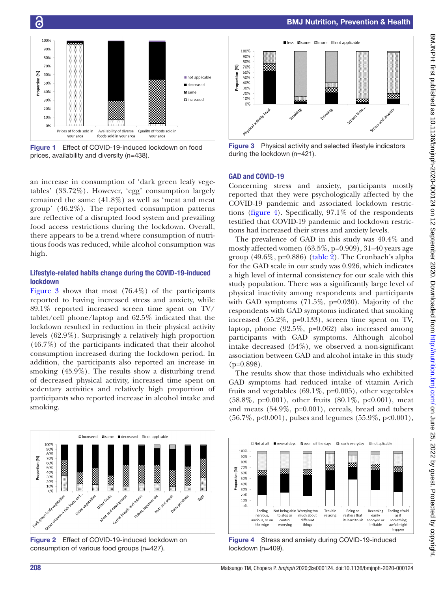

<span id="page-3-0"></span>Figure 1 Effect of COVID-19-induced lockdown on food prices, availability and diversity (n=438).

an increase in consumption of 'dark green leafy vegetables' (33.72%). However, 'egg' consumption largely remained the same (41.8%) as well as 'meat and meat group' (46.2%). The reported consumption patterns are reflective of a disrupted food system and prevailing food access restrictions during the lockdown. Overall, there appears to be a trend where consumption of nutritious foods was reduced, while alcohol consumption was high.

### Lifestyle-related habits change during the COVID-19-induced lockdown

[Figure](#page-3-2) 3 shows that most (76.4%) of the participants reported to having increased stress and anxiety, while 89.1% reported increased screen time spent on TV/ tablet/cell phone/laptop and 62.5% indicated that the lockdown resulted in reduction in their physical activity levels (62.9%). Surprisingly a relatively high proportion (46.7%) of the participants indicated that their alcohol consumption increased during the lockdown period. In addition, the participants also reported an increase in smoking (45.9%). The results show a disturbing trend of decreased physical activity, increased time spent on sedentary activities and relatively high proportion of participants who reported increase in alcohol intake and smoking.



<span id="page-3-1"></span>Figure 2 Effect of COVID-19-induced lockdown on consumption of various food groups (n=427).



BMJ Nutrition, Prevention & Health

<span id="page-3-2"></span>Figure 3 Physical activity and selected lifestyle indicators during the lockdown (n=421).

#### GAD and COVID-19

Concerning stress and anxiety, participants mostly reported that they were psychologically affected by the COVID-19 pandemic and associated lockdown restrictions ([figure](#page-3-3) 4). Specifically, 97.1% of the respondents testified that COVID-19 pandemic and lockdown restrictions had increased their stress and anxiety levels.

The prevalence of GAD in this study was 40.4% and mostly affected women (63.5%, p=0.909), 31–40 years age group  $(49.6\%, p=0.886)$  ([table](#page-4-0) 2). The Cronbach's alpha for the GAD scale in our study was 0.926, which indicates a high level of internal consistency for our scale with this study population. There was a significantly large level of physical inactivity among respondents and participants with GAD symptoms  $(71.5\%, p=0.030)$ . Majority of the respondents with GAD symptoms indicated that smoking increased (55.2%, p=0.133), screen time spent on TV, laptop, phone  $(92.5\%, p=0.062)$  also increased among participants with GAD symptoms. Although alcohol intake decreased (54%), we observed a non-significant association between GAD and alcohol intake in this study  $(p=0.898)$ .

The results show that those individuals who exhibited GAD symptoms had reduced intake of vitamin A-rich fruits and vegetables  $(69.1\%, p=0.005)$ , other vegetables (58.8%, p=0.001), other fruits (80.1%, p<0.001), meat and meats (54.9%, p=0.001), cereals, bread and tubers (56.7%, p<0.001), pulses and legumes (55.9%, p<0.001),



<span id="page-3-3"></span>Figure 4 Stress and anxiety during COVID-19-induced lockdown (n=409).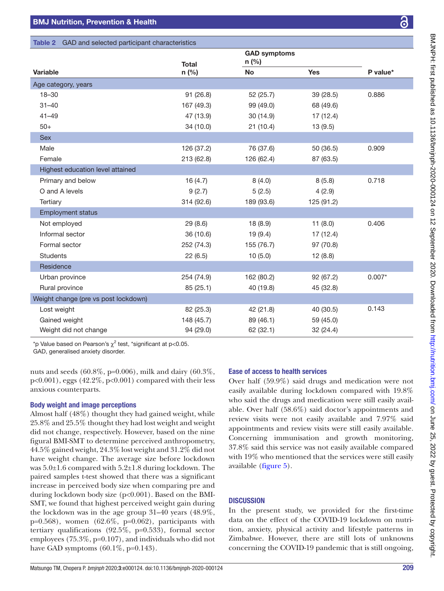## <span id="page-4-0"></span>Table 2 GAD and selected participant characteristics

|                                      | <b>Total</b> | n (%)      | und aynıptunla |          |
|--------------------------------------|--------------|------------|----------------|----------|
| Variable                             | n (%)        | <b>No</b>  | <b>Yes</b>     | P value* |
| Age category, years                  |              |            |                |          |
| $18 - 30$                            | 91(26.8)     | 52 (25.7)  | 39 (28.5)      | 0.886    |
| $31 - 40$                            | 167 (49.3)   | 99 (49.0)  | 68 (49.6)      |          |
| $41 - 49$                            | 47 (13.9)    | 30 (14.9)  | 17 (12.4)      |          |
| $50+$                                | 34 (10.0)    | 21(10.4)   | 13(9.5)        |          |
| <b>Sex</b>                           |              |            |                |          |
| Male                                 | 126 (37.2)   | 76 (37.6)  | 50 (36.5)      | 0.909    |
| Female                               | 213 (62.8)   | 126 (62.4) | 87 (63.5)      |          |
| Highest education level attained     |              |            |                |          |
| Primary and below                    | 16(4.7)      | 8(4.0)     | 8(5.8)         | 0.718    |
| O and A levels                       | 9(2.7)       | 5(2.5)     | 4(2.9)         |          |
| Tertiary                             | 314 (92.6)   | 189 (93.6) | 125 (91.2)     |          |
| <b>Employment status</b>             |              |            |                |          |
| Not employed                         | 29(8.6)      | 18(8.9)    | 11(8.0)        | 0.406    |
| Informal sector                      | 36 (10.6)    | 19(9.4)    | 17(12.4)       |          |
| Formal sector                        | 252 (74.3)   | 155 (76.7) | 97 (70.8)      |          |
| <b>Students</b>                      | 22(6.5)      | 10(5.0)    | 12(8.8)        |          |
| Residence                            |              |            |                |          |
| Urban province                       | 254 (74.9)   | 162 (80.2) | 92 (67.2)      | $0.007*$ |
| Rural province                       | 85 (25.1)    | 40 (19.8)  | 45 (32.8)      |          |
| Weight change (pre vs post lockdown) |              |            |                |          |
| Lost weight                          | 82 (25.3)    | 42 (21.8)  | 40 (30.5)      | 0.143    |
| Gained weight                        | 148 (45.7)   | 89 (46.1)  | 59 (45.0)      |          |
| Weight did not change                | 94 (29.0)    | 62 (32.1)  | 32 (24.4)      |          |

\*p Value based on Pearson's  $\chi^2$  test, \*significant at p<0.05.

GAD, generalised anxiety disorder.

nuts and seeds (60.8%, p=0.006), milk and dairy (60.3%, p<0.001), eggs (42.2%, p<0.001) compared with their less anxious counterparts.

#### Body weight and image perceptions

Almost half (48%) thought they had gained weight, while 25.8% and 25.5% thought they had lost weight and weight did not change, respectively. However, based on the nine figural BMI-SMT to determine perceived anthropometry, 44.5% gained weight, 24.3% lost weight and 31.2% did not have weight change. The average size before lockdown was 5.0±1.6 compared with 5.2±1.8 during lockdown. The paired samples t-test showed that there was a significant increase in perceived body size when comparing pre and during lockdown body size (p<0.001). Based on the BMI-SMT, we found that highest perceived weight gain during the lockdown was in the age group 31–40 years (48.9%,  $p=0.568$ ), women  $(62.6\%, p=0.062)$ , participants with tertiary qualifications (92.5%, p=0.533), formal sector employees (75.3%, p=0.107), and individuals who did not have GAD symptoms (60.1%, p=0.143).

#### Ease of access to health services

GAD symptoms

Over half (59.9%) said drugs and medication were not easily available during lockdown compared with 19.8% who said the drugs and medication were still easily available. Over half (58.6%) said doctor's appointments and review visits were not easily available and 7.97% said appointments and review visits were still easily available. Concerning immunisation and growth monitoring, 37.8% said this service was not easily available compared with 19% who mentioned that the services were still easily available [\(figure](#page-5-0) 5).

#### **DISCUSSION**

In the present study, we provided for the first-time data on the effect of the COVID-19 lockdown on nutrition, anxiety, physical activity and lifestyle patterns in Zimbabwe. However, there are still lots of unknowns concerning the COVID-19 pandemic that is still ongoing, BMJNPH: first published as 10.1136/bnjnph-2020-000124 on 12 September 2020. Downloaded from http://nutrition.bmj.com/ on June 25, 2022 by guest. Protected by copyright BMJNH: first published as 10.1136/bmjnph-2020-000124 on 12 September 2020. Downloaded from <http://nutrition.bmj.com/> on June 25, 2022 by guest. Protected by copyright.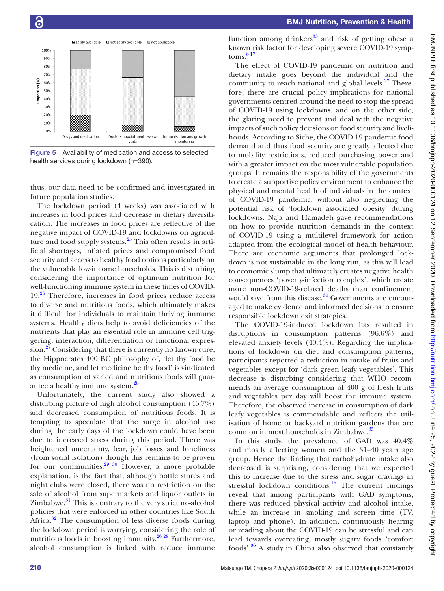

<span id="page-5-0"></span>Figure 5 Availability of medication and access to selected health services during lockdown (n=390).

thus, our data need to be confirmed and investigated in future population studies.

The lockdown period (4 weeks) was associated with increases in food prices and decrease in dietary diversification. The increases in food prices are reflective of the negative impact of COVID-19 and lockdowns on agriculture and food supply systems. $25$  This often results in artificial shortages, inflated prices and compromised food security and access to healthy food options particularly on the vulnerable low-income households. This is disturbing considering the importance of optimum nutrition for well-functioning immune system in these times of COVID- $19<sup>26</sup>$  $19<sup>26</sup>$  $19<sup>26</sup>$  Therefore, increases in food prices reduce access to diverse and nutritious foods, which ultimately makes it difficult for individuals to maintain thriving immune systems. Healthy diets help to avoid deficiencies of the nutrients that play an essential role in immune cell triggering, interaction, differentiation or functional expression.<sup>27</sup> Considering that there is currently no known cure, the Hippocrates 400 BC philosophy of, 'let thy food be thy medicine, and let medicine be thy food' is vindicated as consumption of varied and nutritious foods will guarantee a healthy immune system.<sup>28</sup>

Unfortunately, the current study also showed a disturbing picture of high alcohol consumption (46.7%) and decreased consumption of nutritious foods. It is tempting to speculate that the surge in alcohol use during the early days of the lockdown could have been due to increased stress during this period. There was heightened uncertainty, fear, job losses and loneliness (from social isolation) though this remains to be proven for our communities. $2930$  However, a more probable explanation, is the fact that, although bottle stores and night clubs were closed, there was no restriction on the sale of alcohol from supermarkets and liquor outlets in  $Zimbabwe.<sup>31</sup>$  This is contrary to the very strict no-alcohol policies that were enforced in other countries like South Africa.<sup>32</sup> The consumption of less diverse foods during the lockdown period is worrying, considering the role of nutritious foods in boosting immunity[.26 28](#page-7-15) Furthermore, alcohol consumption is linked with reduce immune

function among drinkers $33$  and risk of getting obese a known risk factor for developing severe COVID-19 symp $toms.<sup>817</sup>$ 

The effect of COVID-19 pandemic on nutrition and dietary intake goes beyond the individual and the community to reach national and global levels.<sup>27</sup> Therefore, there are crucial policy implications for national governments centred around the need to stop the spread of COVID-19 using lockdowns, and on the other side, the glaring need to prevent and deal with the negative impacts of such policy decisions on food security and livelihoods. According to Siche, the COVID-19 pandemic food demand and thus food security are greatly affected due to mobility restrictions, reduced purchasing power and with a greater impact on the most vulnerable population groups. It remains the responsibility of the governments to create a supportive policy environment to enhance the physical and mental health of individuals in the context of COVID-19 pandemic, without also neglecting the potential risk of 'lockdown associated obesity' during lockdowns. Naja and Hamadeh gave recommendations on how to provide nutrition demands in the context of COVID-19 using a multilevel framework for action adapted from the ecological model of health behaviour. There are economic arguments that prolonged lockdown is not sustainable in the long run, as this will lead to economic slump that ultimately creates negative health consequences 'poverty-infection complex', which create more non-COVID-19-related deaths than confinement would save from this disease. $34$  Governments are encouraged to make evidence and informed decisions to ensure responsible lockdown exit strategies.

The COVID-19-induced lockdown has resulted in disruptions in consumption patterns (96.6%) and elevated anxiety levels (40.4%). Regarding the implications of lockdown on diet and consumption patterns, participants reported a reduction in intake of fruits and vegetables except for 'dark green leafy vegetables'. This decrease is disturbing considering that WHO recommends an average consumption of 400 g of fresh fruits and vegetables per day will boost the immune system. Therefore, the observed increase in consumption of dark leafy vegetables is commendable and reflects the utilisation of home or backyard nutrition gardens that are common in most households in Zimbabwe.<sup>[35](#page-7-23)</sup>

In this study, the prevalence of GAD was 40.4% and mostly affecting women and the 31–40 years age group. Hence the finding that carbohydrate intake also decreased is surprising, considering that we expected this to increase due to the stress and sugar cravings in stressful lockdown conditions.<sup>16</sup> The current findings reveal that among participants with GAD symptoms, there was reduced physical activity and alcohol intake, while an increase in smoking and screen time (TV, laptop and phone). In addition, continuously hearing or reading about the COVID-19 can be stressful and can lead towards overeating, mostly sugary foods 'comfort foods'[.36](#page-7-24) A study in China also observed that constantly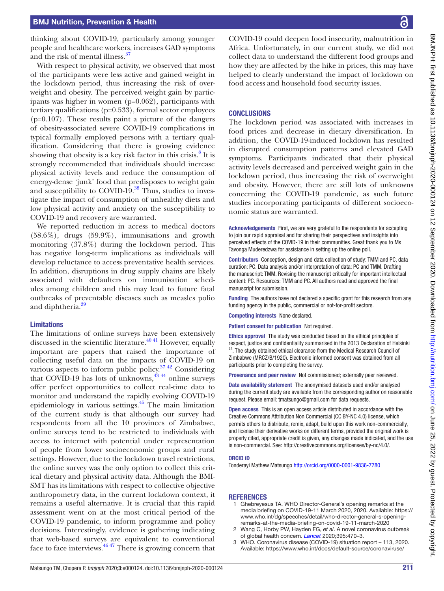#### BMJ Nutrition, Prevention & Health

thinking about COVID-19, particularly among younger people and healthcare workers, increases GAD symptoms and the risk of mental illness.<sup>37</sup>

With respect to physical activity, we observed that most of the participants were less active and gained weight in the lockdown period, thus increasing the risk of overweight and obesity. The perceived weight gain by participants was higher in women (p=0.062), participants with tertiary qualifications (p=0.533), formal sector employees  $(p=0.107)$ . These results paint a picture of the dangers of obesity-associated severe COVID-19 complications in typical formally employed persons with a tertiary qualification. Considering that there is growing evidence showing that obesity is a key risk factor in this crisis.<sup>8</sup> It is strongly recommended that individuals should increase physical activity levels and reduce the consumption of energy-dense 'junk' food that predisposes to weight gain and susceptibility to COVID-19. $38$  Thus, studies to investigate the impact of consumption of unhealthy diets and low physical activity and anxiety on the susceptibility to COVID-19 and recovery are warranted.

We reported reduction in access to medical doctors (58.6%), drugs (59.9%), immunisations and growth monitoring (37.8%) during the lockdown period. This has negative long-term implications as individuals will develop reluctance to access preventative health services. In addition, disruptions in drug supply chains are likely associated with defaulters on immunisation schedules among children and this may lead to future fatal outbreaks of preventable diseases such as measles polio and diphtheria.<sup>39</sup>

#### Limitations

The limitations of online surveys have been extensively discussed in the scientific literature. $4041$  However, equally important are papers that raised the importance of collecting useful data on the impacts of COVID-19 on various aspects to inform public policy. $37\frac{42}{12}$  Considering that COVID-19 has lots of unknowns, $43^{43}$  online surveys offer perfect opportunities to collect real-time data to monitor and understand the rapidly evolving COVID-19 epidemiology in various settings.[45](#page-7-30) The main limitation of the current study is that although our survey had respondents from all the 10 provinces of Zimbabwe, online surveys tend to be restricted to individuals with access to internet with potential under representation of people from lower socioeconomic groups and rural settings. However, due to the lockdown travel restrictions, the online survey was the only option to collect this critical dietary and physical activity data. Although the BMI-SMT has its limitations with respect to collective objective anthropometry data, in the current lockdown context, it remains a useful alternative. It is crucial that this rapid assessment went on at the most critical period of the COVID-19 pandemic, to inform programme and policy decisions. Interestingly, evidence is gathering indicating that web-based surveys are equivalent to conventional face to face interviews.<sup>4647</sup> There is growing concern that

COVID-19 could deepen food insecurity, malnutrition in Africa. Unfortunately, in our current study, we did not collect data to understand the different food groups and how they are affected by the hike in prices, this may have helped to clearly understand the impact of lockdown on food access and household food security issues.

#### **CONCLUSIONS**

The lockdown period was associated with increases in food prices and decrease in dietary diversification. In addition, the COVID-19-induced lockdown has resulted in disrupted consumption patterns and elevated GAD symptoms. Participants indicated that their physical activity levels decreased and perceived weight gain in the lockdown period, thus increasing the risk of overweight and obesity. However, there are still lots of unknowns concerning the COVID-19 pandemic, as such future studies incorporating participants of different socioeconomic status are warranted.

Acknowledgements First, we are very grateful to the respondents for accepting to join our rapid appraisal and for sharing their perspectives and insights into perceived effects of the COVID-19 in their communities. Great thank you to Ms Tavonga Muderedzwa for assistance in setting up the online poll.

Contributors Conception, design and data collection of study: TMM and PC, data curation: PC. Data analysis and/or interpretation of data: PC and TMM. Drafting the manuscript: TMM. Revising the manuscript critically for important intellectual content: PC. Resources: TMM and PC. All authors read and approved the final manuscript for submission.

Funding The authors have not declared a specific grant for this research from any funding agency in the public, commercial or not-for-profit sectors.

Competing interests None declared.

Patient consent for publication Not required.

Ethics approval The study was conducted based on the ethical principles of respect, justice and confidentiality summarised in the 2013 Declaration of Helsinki <sup>24</sup>. The study obtained ethical clearance from the Medical Research Council of Zimbabwe (MRCZ/B/1920). Electronic informed consent was obtained from all participants prior to completing the survey.

Provenance and peer review Not commissioned; externally peer reviewed.

Data availability statement The anonymised datasets used and/or analysed during the current study are available from the corresponding author on reasonable request. Please email: tmatsungo@gmail.com for data requests.

Open access This is an open access article distributed in accordance with the Creative Commons Attribution Non Commercial (CC BY-NC 4.0) license, which permits others to distribute, remix, adapt, build upon this work non-commercially, and license their derivative works on different terms, provided the original work is properly cited, appropriate credit is given, any changes made indicated, and the use is non-commercial. See: [http://creativecommons.org/licenses/by-nc/4.0/.](http://creativecommons.org/licenses/by-nc/4.0/)

#### ORCID iD

Tonderayi Mathew Matsungo<http://orcid.org/0000-0001-9836-7780>

#### <span id="page-6-0"></span>REFERENCES

- 1 Ghebreyesus TA. WHO Director-General's opening remarks at the media briefing on COVID-19-11 March 2020, 2020. Available: [https://](https://www.who.int/dg/speeches/detail/who-director-general-s-opening-remarks-at-the-media-briefing-on-covid-19-11-march-2020) [www.who.int/dg/speeches/detail/who-director-general-s-opening](https://www.who.int/dg/speeches/detail/who-director-general-s-opening-remarks-at-the-media-briefing-on-covid-19-11-march-2020)[remarks-at-the-media-briefing-on-covid-19-11-march-2020](https://www.who.int/dg/speeches/detail/who-director-general-s-opening-remarks-at-the-media-briefing-on-covid-19-11-march-2020)
- <span id="page-6-1"></span>2 Wang C, Horby PW, Hayden FG, *et al*. A novel coronavirus outbreak of global health concern. *[Lancet](http://dx.doi.org/10.1016/S0140-6736(20)30185-9)* 2020;395:470–3.
- <span id="page-6-2"></span>3 WHO. Coronavirus disease (COVID-19) situation report – 113, 2020. Available: [https://www.who.int/docs/default-source/coronaviruse/](https://www.who.int/docs/default-source/coronaviruse/situation-reports/20200512-covid-19-sitrep-113.pdf?sfvrsn=feac3b6d_2)